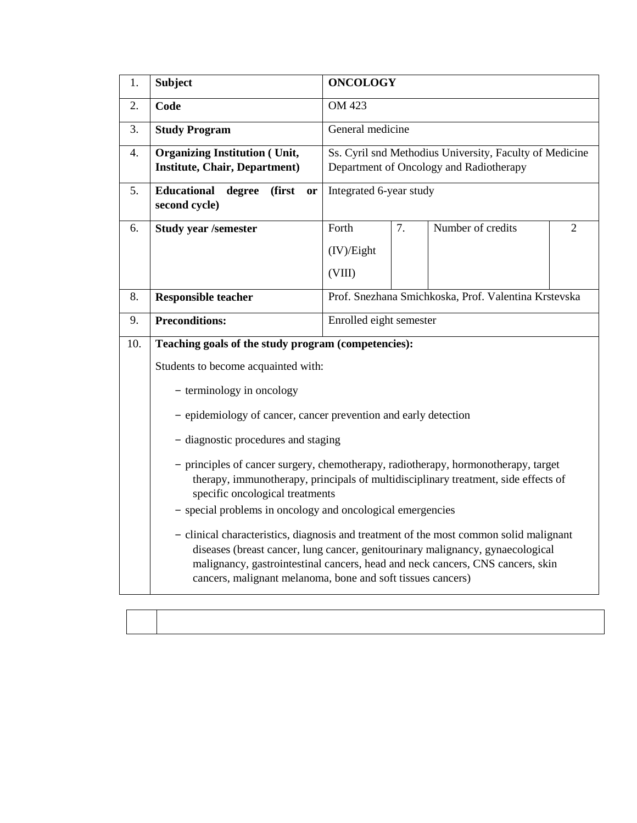| 1.  | <b>Subject</b>                                                                                                                                                                                                                                                                                                            | <b>ONCOLOGY</b>                                      |                  |                                                         |  |  |  |
|-----|---------------------------------------------------------------------------------------------------------------------------------------------------------------------------------------------------------------------------------------------------------------------------------------------------------------------------|------------------------------------------------------|------------------|---------------------------------------------------------|--|--|--|
| 2.  | Code                                                                                                                                                                                                                                                                                                                      | OM 423                                               |                  |                                                         |  |  |  |
| 3.  | <b>Study Program</b>                                                                                                                                                                                                                                                                                                      |                                                      | General medicine |                                                         |  |  |  |
| 4.  | <b>Organizing Institution (Unit,</b>                                                                                                                                                                                                                                                                                      |                                                      |                  | Ss. Cyril snd Methodius University, Faculty of Medicine |  |  |  |
|     | <b>Institute, Chair, Department)</b>                                                                                                                                                                                                                                                                                      |                                                      |                  | Department of Oncology and Radiotherapy                 |  |  |  |
| 5.  | <b>Educational</b><br>(first<br>degree<br><b>or</b><br>second cycle)                                                                                                                                                                                                                                                      | Integrated 6-year study                              |                  |                                                         |  |  |  |
| 6.  | <b>Study year /semester</b>                                                                                                                                                                                                                                                                                               | Number of credits<br>Forth<br>7.<br>$\overline{2}$   |                  |                                                         |  |  |  |
|     |                                                                                                                                                                                                                                                                                                                           | (IV)/Eight                                           |                  |                                                         |  |  |  |
|     |                                                                                                                                                                                                                                                                                                                           | (VIII)                                               |                  |                                                         |  |  |  |
| 8.  | <b>Responsible teacher</b>                                                                                                                                                                                                                                                                                                | Prof. Snezhana Smichkoska, Prof. Valentina Krstevska |                  |                                                         |  |  |  |
| 9.  | <b>Preconditions:</b>                                                                                                                                                                                                                                                                                                     | Enrolled eight semester                              |                  |                                                         |  |  |  |
| 10. | Teaching goals of the study program (competencies):                                                                                                                                                                                                                                                                       |                                                      |                  |                                                         |  |  |  |
|     | Students to become acquainted with:                                                                                                                                                                                                                                                                                       |                                                      |                  |                                                         |  |  |  |
|     | - terminology in oncology                                                                                                                                                                                                                                                                                                 |                                                      |                  |                                                         |  |  |  |
|     | - epidemiology of cancer, cancer prevention and early detection                                                                                                                                                                                                                                                           |                                                      |                  |                                                         |  |  |  |
|     | - diagnostic procedures and staging                                                                                                                                                                                                                                                                                       |                                                      |                  |                                                         |  |  |  |
|     | - principles of cancer surgery, chemotherapy, radiotherapy, hormonotherapy, target<br>therapy, immunotherapy, principals of multidisciplinary treatment, side effects of                                                                                                                                                  |                                                      |                  |                                                         |  |  |  |
|     | specific oncological treatments<br>- special problems in oncology and oncological emergencies                                                                                                                                                                                                                             |                                                      |                  |                                                         |  |  |  |
|     | - clinical characteristics, diagnosis and treatment of the most common solid malignant<br>diseases (breast cancer, lung cancer, genitourinary malignancy, gynaecological<br>malignancy, gastrointestinal cancers, head and neck cancers, CNS cancers, skin<br>cancers, malignant melanoma, bone and soft tissues cancers) |                                                      |                  |                                                         |  |  |  |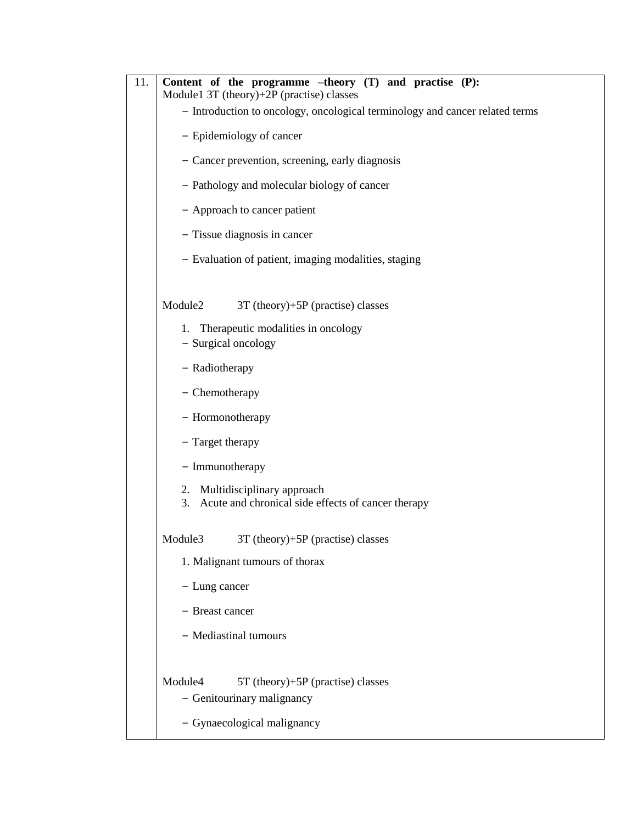| 11.<br>Content of the programme $-theory(T)$ and practise $(P)$ :<br>Module1 3T (theory)+2P (practise) classes |  |  |  |  |  |  |  |
|----------------------------------------------------------------------------------------------------------------|--|--|--|--|--|--|--|
| - Introduction to oncology, oncological terminology and cancer related terms                                   |  |  |  |  |  |  |  |
| - Epidemiology of cancer                                                                                       |  |  |  |  |  |  |  |
| - Cancer prevention, screening, early diagnosis                                                                |  |  |  |  |  |  |  |
| - Pathology and molecular biology of cancer                                                                    |  |  |  |  |  |  |  |
| - Approach to cancer patient                                                                                   |  |  |  |  |  |  |  |
| - Tissue diagnosis in cancer                                                                                   |  |  |  |  |  |  |  |
| - Evaluation of patient, imaging modalities, staging                                                           |  |  |  |  |  |  |  |
| Module2<br>$3T$ (theory)+5P (practise) classes                                                                 |  |  |  |  |  |  |  |
| 1. Therapeutic modalities in oncology<br>- Surgical oncology                                                   |  |  |  |  |  |  |  |
| - Radiotherapy                                                                                                 |  |  |  |  |  |  |  |
| - Chemotherapy                                                                                                 |  |  |  |  |  |  |  |
| - Hormonotherapy                                                                                               |  |  |  |  |  |  |  |
| - Target therapy                                                                                               |  |  |  |  |  |  |  |
| - Immunotherapy                                                                                                |  |  |  |  |  |  |  |
| Multidisciplinary approach<br>2.<br>Acute and chronical side effects of cancer therapy<br>3.                   |  |  |  |  |  |  |  |
| 3T (theory)+5P (practise) classes<br>Module3                                                                   |  |  |  |  |  |  |  |
| 1. Malignant tumours of thorax                                                                                 |  |  |  |  |  |  |  |
| - Lung cancer                                                                                                  |  |  |  |  |  |  |  |
| - Breast cancer                                                                                                |  |  |  |  |  |  |  |
| - Mediastinal tumours                                                                                          |  |  |  |  |  |  |  |
| Module4<br>5T (theory)+5P (practise) classes<br>- Genitourinary malignancy                                     |  |  |  |  |  |  |  |
| - Gynaecological malignancy                                                                                    |  |  |  |  |  |  |  |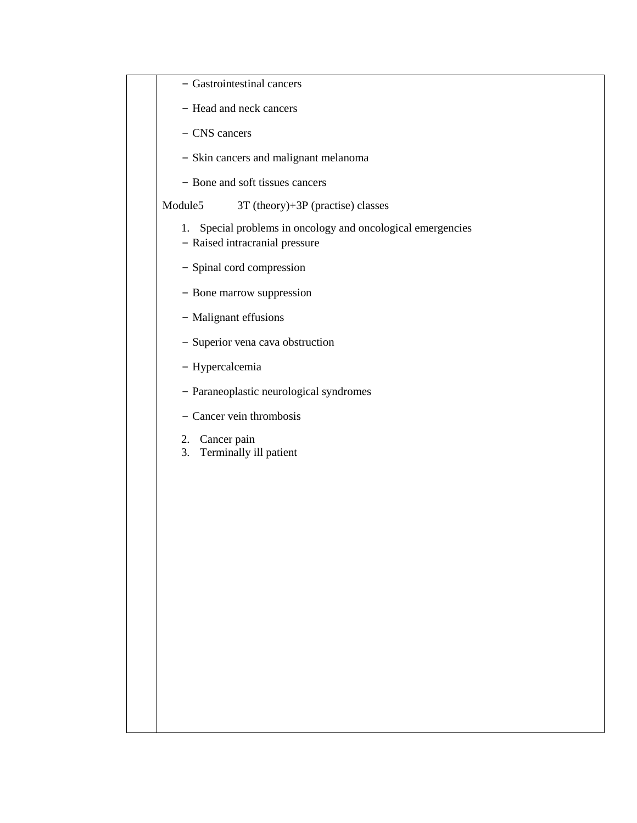| - Gastrointestinal cancers                                                                       |
|--------------------------------------------------------------------------------------------------|
| - Head and neck cancers                                                                          |
| - CNS cancers                                                                                    |
| - Skin cancers and malignant melanoma                                                            |
| - Bone and soft tissues cancers                                                                  |
| Module5<br>$3T$ (theory)+ $3P$ (practise) classes                                                |
| Special problems in oncology and oncological emergencies<br>1.<br>- Raised intracranial pressure |
| - Spinal cord compression                                                                        |
| - Bone marrow suppression                                                                        |
| - Malignant effusions                                                                            |
| - Superior vena cava obstruction                                                                 |
| - Hypercalcemia                                                                                  |
| - Paraneoplastic neurological syndromes                                                          |
| - Cancer vein thrombosis                                                                         |
| 2. Cancer pain<br>Terminally ill patient<br>3.                                                   |
|                                                                                                  |
|                                                                                                  |
|                                                                                                  |
|                                                                                                  |
|                                                                                                  |
|                                                                                                  |
|                                                                                                  |
|                                                                                                  |
|                                                                                                  |
|                                                                                                  |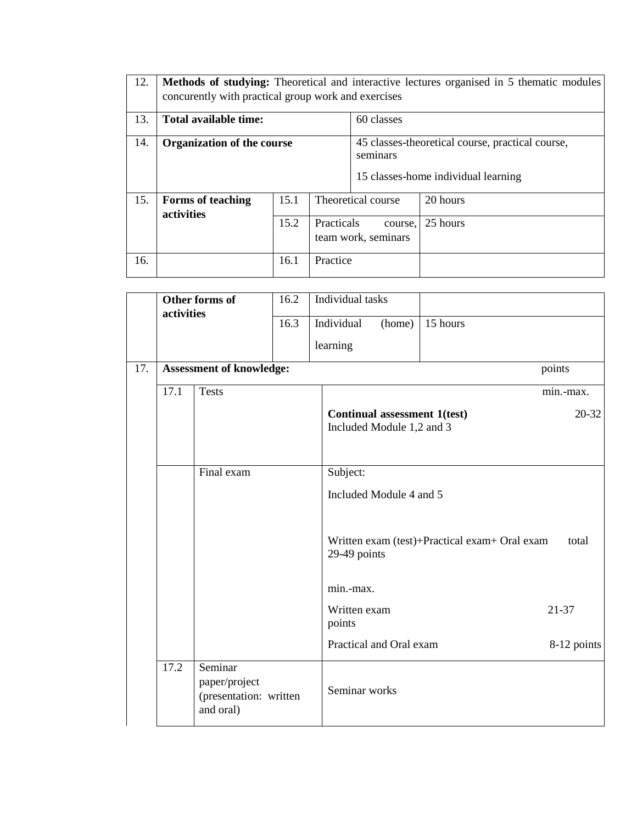| 12. | <b>Methods of studying:</b> Theoretical and interactive lectures organised in 5 thematic modules<br>concurently with practical group work and exercises |      |                                                                                                     |                                |          |  |  |
|-----|---------------------------------------------------------------------------------------------------------------------------------------------------------|------|-----------------------------------------------------------------------------------------------------|--------------------------------|----------|--|--|
| 13. | Total available time:                                                                                                                                   |      |                                                                                                     | 60 classes                     |          |  |  |
| 14. | <b>Organization of the course</b>                                                                                                                       |      | 45 classes-theoretical course, practical course,<br>seminars<br>15 classes-home individual learning |                                |          |  |  |
| 15. | <b>Forms of teaching</b><br>activities                                                                                                                  | 15.1 |                                                                                                     | Theoretical course             | 20 hours |  |  |
|     |                                                                                                                                                         | 15.2 | <b>Practicals</b>                                                                                   | course.<br>team work, seminars | 25 hours |  |  |
| 16. |                                                                                                                                                         | 16.1 | Practice                                                                                            |                                |          |  |  |

|     |            | Other forms of                                                  | 16.2 | Individual tasks                                          |                                               |             |
|-----|------------|-----------------------------------------------------------------|------|-----------------------------------------------------------|-----------------------------------------------|-------------|
|     | activities |                                                                 | 16.3 | Individual<br>(home)                                      | 15 hours                                      |             |
|     |            |                                                                 |      | learning                                                  |                                               |             |
| 17. |            | <b>Assessment of knowledge:</b>                                 |      |                                                           |                                               | points      |
|     | 17.1       | <b>Tests</b>                                                    |      |                                                           |                                               | min.-max.   |
|     |            |                                                                 |      | Continual assessment 1(test)<br>Included Module 1,2 and 3 |                                               | $20 - 32$   |
|     |            | Final exam                                                      |      | Subject:                                                  |                                               |             |
|     |            |                                                                 |      | Included Module 4 and 5                                   |                                               |             |
|     |            |                                                                 |      | 29-49 points                                              | Written exam (test)+Practical exam+ Oral exam | total       |
|     |            |                                                                 |      | min.-max.                                                 |                                               |             |
|     |            |                                                                 |      | Written exam<br>points                                    |                                               | 21-37       |
|     |            |                                                                 |      | Practical and Oral exam                                   |                                               | 8-12 points |
|     | 17.2       | Seminar<br>paper/project<br>(presentation: written<br>and oral) |      | Seminar works                                             |                                               |             |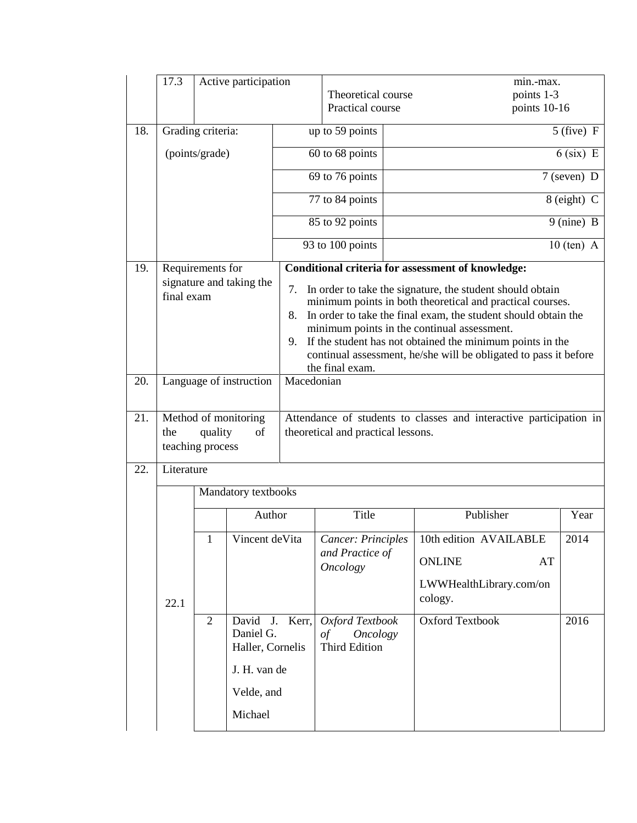|     | 17.3                                                              |                | Active participation                         |                                    |                                                                          |                                                                    | min.-max.                                                                                                                                                                                                                                                                                                                                                                |                         |  |
|-----|-------------------------------------------------------------------|----------------|----------------------------------------------|------------------------------------|--------------------------------------------------------------------------|--------------------------------------------------------------------|--------------------------------------------------------------------------------------------------------------------------------------------------------------------------------------------------------------------------------------------------------------------------------------------------------------------------------------------------------------------------|-------------------------|--|
|     |                                                                   |                |                                              |                                    | Theoretical course<br>Practical course                                   |                                                                    | points 1-3<br>points 10-16                                                                                                                                                                                                                                                                                                                                               |                         |  |
|     |                                                                   |                |                                              |                                    |                                                                          |                                                                    |                                                                                                                                                                                                                                                                                                                                                                          |                         |  |
| 18. | Grading criteria:<br>(points/grade)                               |                |                                              | up to 59 points                    |                                                                          |                                                                    | $5$ (five) F                                                                                                                                                                                                                                                                                                                                                             |                         |  |
|     |                                                                   |                |                                              | 60 to 68 points                    |                                                                          |                                                                    | $6$ (six) E                                                                                                                                                                                                                                                                                                                                                              |                         |  |
|     |                                                                   |                |                                              |                                    | 69 to 76 points                                                          |                                                                    |                                                                                                                                                                                                                                                                                                                                                                          | $7$ (seven) D           |  |
|     |                                                                   |                |                                              |                                    | 77 to 84 points                                                          |                                                                    |                                                                                                                                                                                                                                                                                                                                                                          | 8 (eight) C             |  |
|     |                                                                   |                |                                              |                                    | 85 to 92 points                                                          |                                                                    |                                                                                                                                                                                                                                                                                                                                                                          | $\overline{9}$ (nine) B |  |
|     |                                                                   |                |                                              |                                    | 93 to 100 points                                                         | $10$ (ten) A                                                       |                                                                                                                                                                                                                                                                                                                                                                          |                         |  |
| 19. | Requirements for                                                  |                |                                              |                                    |                                                                          |                                                                    | <b>Conditional criteria for assessment of knowledge:</b>                                                                                                                                                                                                                                                                                                                 |                         |  |
| 20. | signature and taking the<br>final exam<br>Language of instruction |                |                                              | 7.<br>8.<br>9.<br>Macedonian       | the final exam.                                                          |                                                                    | In order to take the signature, the student should obtain<br>minimum points in both theoretical and practical courses.<br>In order to take the final exam, the student should obtain the<br>minimum points in the continual assessment.<br>If the student has not obtained the minimum points in the<br>continual assessment, he/she will be obligated to pass it before |                         |  |
| 21. | Method of monitoring<br>quality<br>of<br>the<br>teaching process  |                |                                              | theoretical and practical lessons. |                                                                          | Attendance of students to classes and interactive participation in |                                                                                                                                                                                                                                                                                                                                                                          |                         |  |
| 22. | Literature                                                        |                |                                              |                                    |                                                                          |                                                                    |                                                                                                                                                                                                                                                                                                                                                                          |                         |  |
|     |                                                                   |                | Mandatory textbooks                          |                                    |                                                                          |                                                                    |                                                                                                                                                                                                                                                                                                                                                                          |                         |  |
|     |                                                                   |                | Author                                       |                                    | Title                                                                    |                                                                    | Publisher                                                                                                                                                                                                                                                                                                                                                                | Year                    |  |
|     |                                                                   | $\mathbf{1}$   | Vincent de Vita                              |                                    | Cancer: Principles                                                       |                                                                    | 10th edition AVAILABLE                                                                                                                                                                                                                                                                                                                                                   | 2014                    |  |
|     |                                                                   |                |                                              |                                    | and Practice of<br><b>Oncology</b>                                       |                                                                    | <b>ONLINE</b>                                                                                                                                                                                                                                                                                                                                                            | AT                      |  |
|     | 22.1                                                              |                |                                              |                                    |                                                                          |                                                                    | LWWHealthLibrary.com/on<br>cology.                                                                                                                                                                                                                                                                                                                                       |                         |  |
|     |                                                                   | $\overline{2}$ | David<br>J.<br>Daniel G.<br>Haller, Cornelis | Kerr,                              | Oxford Textbook<br><b>Oncology</b><br>$\sigma f$<br><b>Third Edition</b> |                                                                    | <b>Oxford Textbook</b>                                                                                                                                                                                                                                                                                                                                                   | 2016                    |  |
|     |                                                                   |                | J. H. van de                                 |                                    |                                                                          |                                                                    |                                                                                                                                                                                                                                                                                                                                                                          |                         |  |
|     |                                                                   |                | Velde, and                                   |                                    |                                                                          |                                                                    |                                                                                                                                                                                                                                                                                                                                                                          |                         |  |
|     |                                                                   |                | Michael                                      |                                    |                                                                          |                                                                    |                                                                                                                                                                                                                                                                                                                                                                          |                         |  |